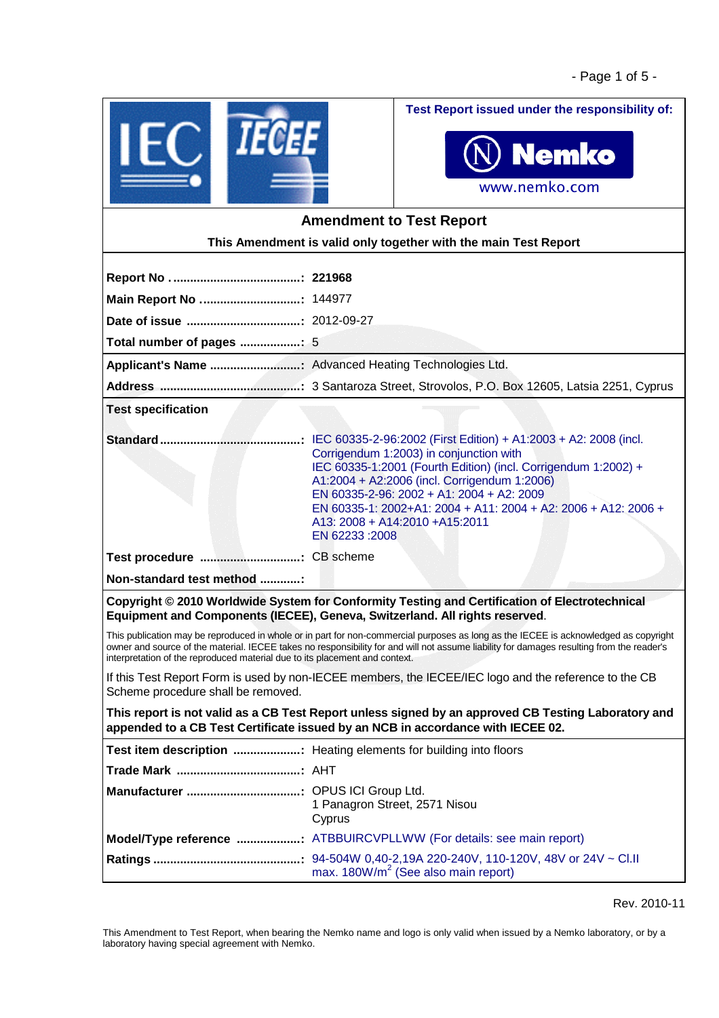

**Test Report issued under the responsibility of:**



# **Amendment to Test Report This Amendment is valid only together with the main Test Report Report No . ......................................: 221968 Main Report No ..............................:** 144977 **Date of issue ..................................:** 2012-09-27 **Total number of pages ..................:** 5 **Applicant's Name ...........................:** Advanced Heating Technologies Ltd. **Address ..........................................:** 3 Santaroza Street, Strovolos, P.O. Box 12605, Latsia 2251, Cyprus **Test specification Standard..........................................:** IEC 60335-2-96:2002 (First Edition) + A1:2003 + A2: 2008 (incl. Corrigendum 1:2003) in conjunction with IEC 60335-1:2001 (Fourth Edition) (incl. Corrigendum 1:2002) + A1:2004 + A2:2006 (incl. Corrigendum 1:2006) EN 60335-2-96: 2002 + A1: 2004 + A2: 2009 EN 60335-1: 2002+A1: 2004 + A11: 2004 + A2: 2006 + A12: 2006 + A13: 2008 + A14:2010 +A15:2011 EN 62233 :2008 **Test procedure ..............................:** CB scheme **Non-standard test method ............: Copyright © 2010 Worldwide System for Conformity Testing and Certification of Electrotechnical Equipment and Components (IECEE), Geneva, Switzerland. All rights reserved**. This publication may be reproduced in whole or in part for non-commercial purposes as long as the IECEE is acknowledged as copyright owner and source of the material. IECEE takes no responsibility for and will not assume liability for damages resulting from the reader's interpretation of the reproduced material due to its placement and context.

If this Test Report Form is used by non-IECEE members, the IECEE/IEC logo and the reference to the CB Scheme procedure shall be removed.

**This report is not valid as a CB Test Report unless signed by an approved CB Testing Laboratory and appended to a CB Test Certificate issued by an NCB in accordance with IECEE 02.**

| Test item description  Heating elements for building into floors    |
|---------------------------------------------------------------------|
|                                                                     |
| 1 Panagron Street, 2571 Nisou<br>Cyprus                             |
| Model/Type reference  ATBBUIRCVPLLWW (For details: see main report) |
| max. $180W/m^2$ (See also main report)                              |

Rev. 2010-11

This Amendment to Test Report, when bearing the Nemko name and logo is only valid when issued by a Nemko laboratory, or by a laboratory having special agreement with Nemko.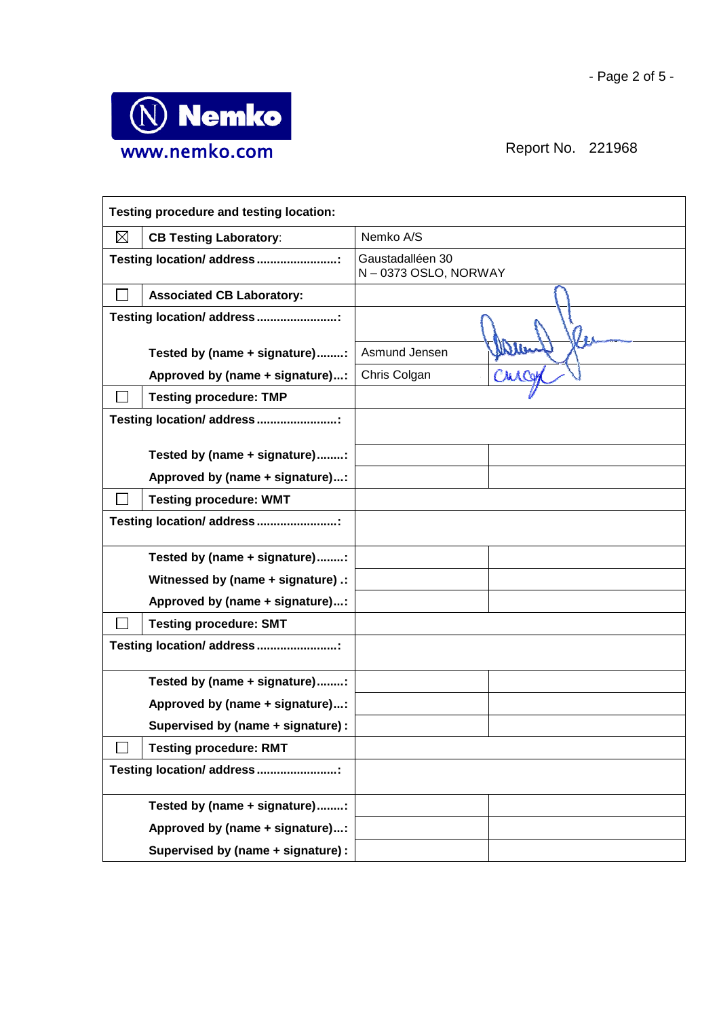

| Testing procedure and testing location:      |  |                                         |  |
|----------------------------------------------|--|-----------------------------------------|--|
| $\boxtimes$<br><b>CB Testing Laboratory:</b> |  | Nemko A/S                               |  |
| Testing location/ address :                  |  | Gaustadalléen 30<br>N-0373 OSLO, NORWAY |  |
| <b>Associated CB Laboratory:</b>             |  |                                         |  |
| Testing location/ address :                  |  |                                         |  |
| Tested by (name + signature):                |  | Asmund Jensen                           |  |
| Approved by (name + signature):              |  | Chris Colgan                            |  |
| <b>Testing procedure: TMP</b>                |  |                                         |  |
| Testing location/ address :                  |  |                                         |  |
|                                              |  |                                         |  |
| Tested by (name + signature):                |  |                                         |  |
| Approved by (name + signature):              |  |                                         |  |
| <b>Testing procedure: WMT</b>                |  |                                         |  |
| Testing location/ address :                  |  |                                         |  |
| Tested by (name + signature):                |  |                                         |  |
| Witnessed by (name + signature) .:           |  |                                         |  |
| Approved by (name + signature):              |  |                                         |  |
| <b>Testing procedure: SMT</b>                |  |                                         |  |
| Testing location/ address :                  |  |                                         |  |
| Tested by (name + signature):                |  |                                         |  |
| Approved by (name + signature):              |  |                                         |  |
| Supervised by (name + signature) :           |  |                                         |  |
| <b>Testing procedure: RMT</b>                |  |                                         |  |
| Testing location/ address                    |  |                                         |  |
| Tested by (name + signature):                |  |                                         |  |
| Approved by (name + signature):              |  |                                         |  |
| Supervised by (name + signature) :           |  |                                         |  |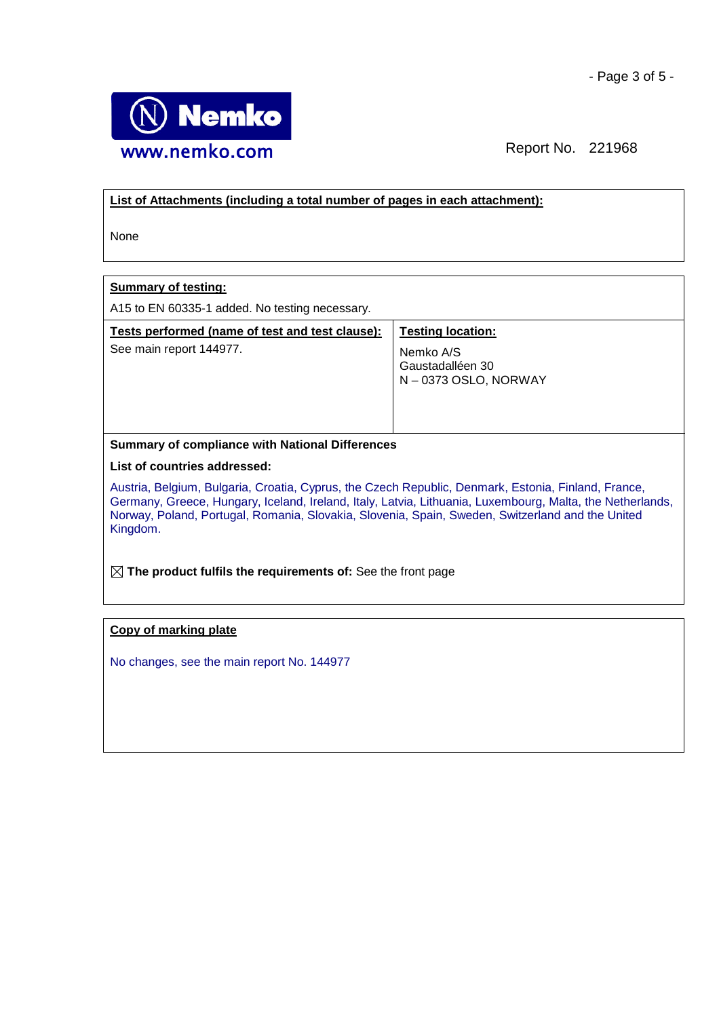

## **List of Attachments (including a total number of pages in each attachment):**

None

# **Summary of testing:**

A15 to EN 60335-1 added. No testing necessary.

| Tests performed (name of test and test clause): | <b>Testing location:</b> |
|-------------------------------------------------|--------------------------|
| See main report 144977.                         | Gaustadalléen 30         |
| Nemko A/S                                       | N-0373 OSLO, NORWAY      |

## **Summary of compliance with National Differences**

#### **List of countries addressed:**

Austria, Belgium, Bulgaria, Croatia, Cyprus, the Czech Republic, Denmark, Estonia, Finland, France, Germany, Greece, Hungary, Iceland, Ireland, Italy, Latvia, Lithuania, Luxembourg, Malta, the Netherlands, Norway, Poland, Portugal, Romania, Slovakia, Slovenia, Spain, Sweden, Switzerland and the United Kingdom.

**The product fulfils the requirements of:** See the front page

### **Copy of marking plate**

No changes, see the main report No. 144977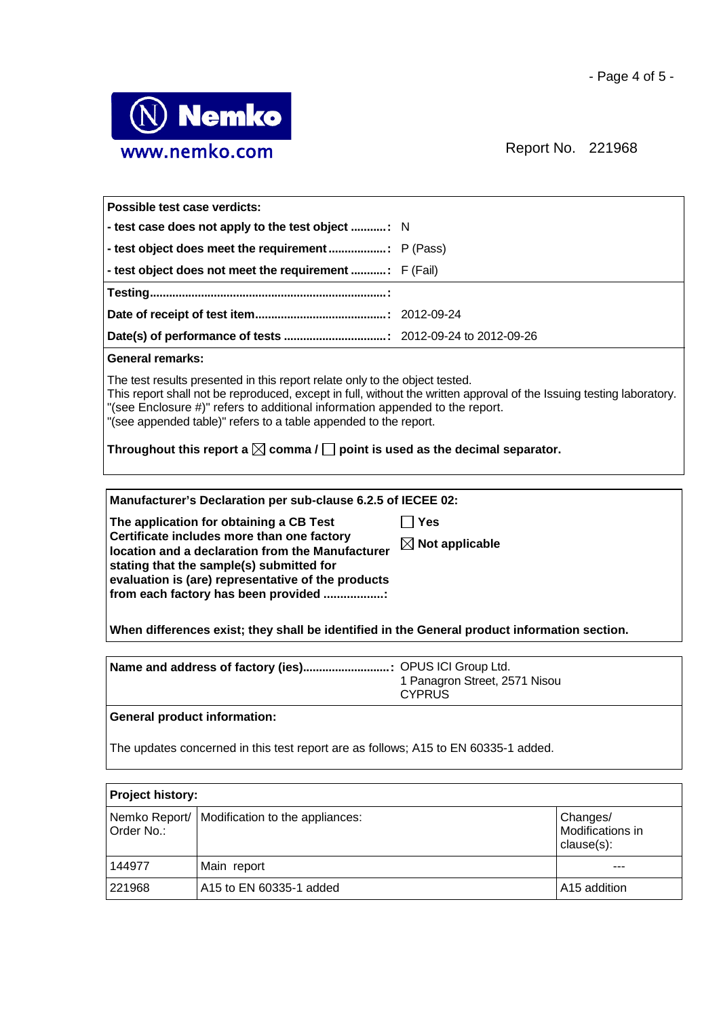

| Possible test case verdicts:                                                                                                                                                                                                                                                                                                                                                                                                                           |                            |  |
|--------------------------------------------------------------------------------------------------------------------------------------------------------------------------------------------------------------------------------------------------------------------------------------------------------------------------------------------------------------------------------------------------------------------------------------------------------|----------------------------|--|
|                                                                                                                                                                                                                                                                                                                                                                                                                                                        |                            |  |
|                                                                                                                                                                                                                                                                                                                                                                                                                                                        |                            |  |
|                                                                                                                                                                                                                                                                                                                                                                                                                                                        |                            |  |
|                                                                                                                                                                                                                                                                                                                                                                                                                                                        |                            |  |
|                                                                                                                                                                                                                                                                                                                                                                                                                                                        |                            |  |
|                                                                                                                                                                                                                                                                                                                                                                                                                                                        |                            |  |
| <b>General remarks:</b>                                                                                                                                                                                                                                                                                                                                                                                                                                |                            |  |
| The test results presented in this report relate only to the object tested.<br>This report shall not be reproduced, except in full, without the written approval of the Issuing testing laboratory.<br>"(see Enclosure #)" refers to additional information appended to the report.<br>"(see appended table)" refers to a table appended to the report.<br>Throughout this report a $\boxtimes$ comma / $\Box$ point is used as the decimal separator. |                            |  |
| Manufacturer's Declaration per sub-clause 6.2.5 of IECEE 02:                                                                                                                                                                                                                                                                                                                                                                                           |                            |  |
| The application for obtaining a CB Test                                                                                                                                                                                                                                                                                                                                                                                                                | $\sqcap$ Yes               |  |
| Certificate includes more than one factory<br>location and a declaration from the Manufacturer                                                                                                                                                                                                                                                                                                                                                         | $\boxtimes$ Not applicable |  |
| stating that the sample(s) submitted for                                                                                                                                                                                                                                                                                                                                                                                                               |                            |  |
| evaluation is (are) representative of the products                                                                                                                                                                                                                                                                                                                                                                                                     |                            |  |
| from each factory has been provided :                                                                                                                                                                                                                                                                                                                                                                                                                  |                            |  |
| When differences exist; they shall be identified in the General product information section.                                                                                                                                                                                                                                                                                                                                                           |                            |  |
|                                                                                                                                                                                                                                                                                                                                                                                                                                                        |                            |  |

| Name and address of factory (ies) OPUS ICI Group Ltd. |
|-------------------------------------------------------|
| 1 Panagron Street, 2571 Nisou                         |
| <b>CYPRUS</b>                                         |
|                                                       |

# **General product information:**

The updates concerned in this test report are as follows; A15 to EN 60335-1 added.

| Project history: |                                                 |                                            |
|------------------|-------------------------------------------------|--------------------------------------------|
| Order No.:       | Nemko Report/   Modification to the appliances: | Changes/<br>Modifications in<br>clause(s): |
| 144977           | Main report                                     |                                            |
| 221968           | A15 to EN 60335-1 added                         | A15 addition                               |